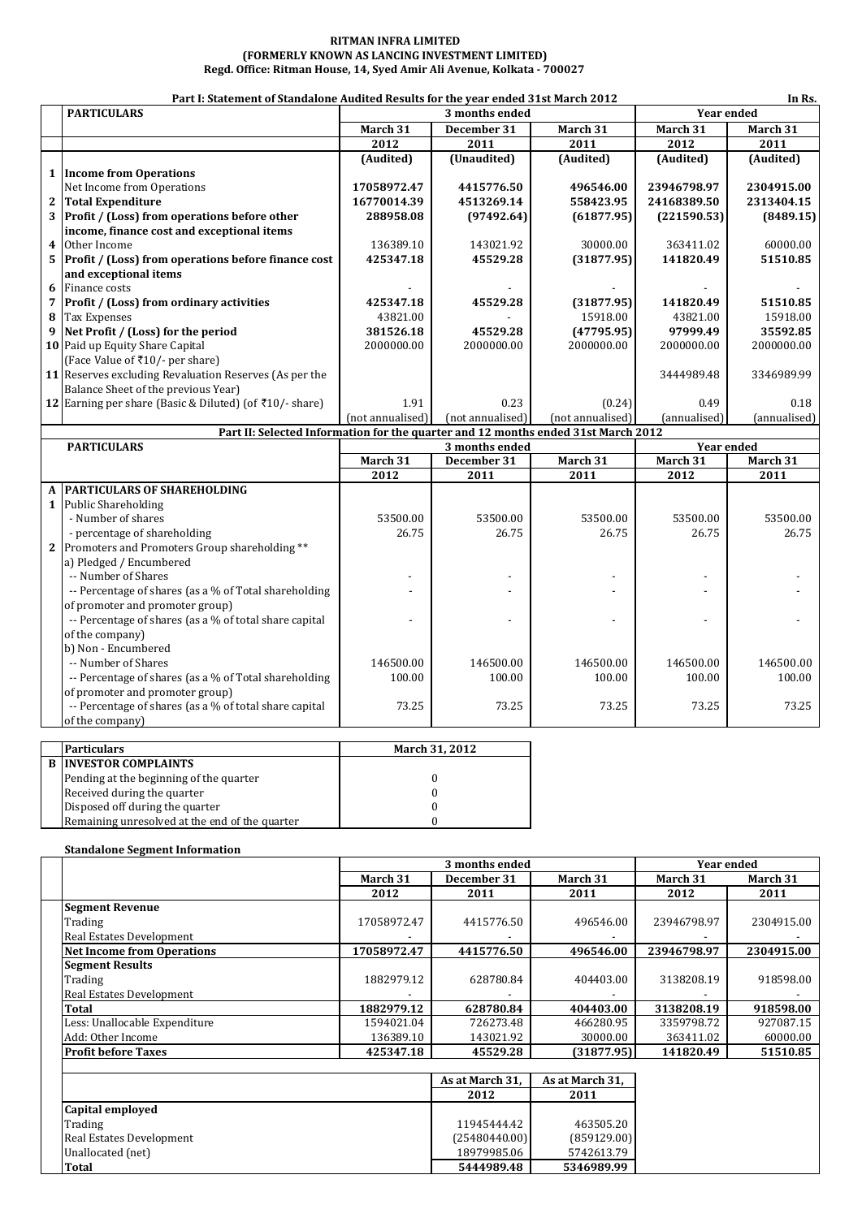## **Regd. Office: Ritman House, 14, Syed Amir Ali Avenue, Kolkata - 700027 RITMAN INFRA LIMITED (FORMERLY KNOWN AS LANCING INVESTMENT LIMITED)**

**Part I: Statement of Standalone Audited Results for the year ended 31st March 2012**

|                | Part I: Statement of Standalone Audited Results for the year ended 31st March 2012        |                     |                  |                  |                   | In Rs.       |
|----------------|-------------------------------------------------------------------------------------------|---------------------|------------------|------------------|-------------------|--------------|
|                | <b>PARTICULARS</b>                                                                        |                     | 3 months ended   |                  | <b>Year ended</b> |              |
|                |                                                                                           | March 31            | December 31      | March 31         | March 31          | March 31     |
|                |                                                                                           | 2012                | 2011             | 2011             | 2012              | 2011         |
|                |                                                                                           | (Audited)           | (Unaudited)      | (Audited)        | (Audited)         | (Audited)    |
|                | 1   Income from Operations                                                                |                     |                  |                  |                   |              |
|                | Net Income from Operations                                                                | 17058972.47         | 4415776.50       | 496546.00        | 23946798.97       | 2304915.00   |
| $\overline{2}$ | <b>Total Expenditure</b>                                                                  | 16770014.39         | 4513269.14       | 558423.95        | 24168389.50       | 2313404.15   |
| 3              | Profit / (Loss) from operations before other                                              | 288958.08           | (97492.64)       | (61877.95)       | (221590.53)       | (8489.15)    |
|                | income, finance cost and exceptional items                                                |                     |                  |                  |                   |              |
| 4              | Other Income                                                                              | 136389.10           | 143021.92        | 30000.00         | 363411.02         | 60000.00     |
| 5              | Profit / (Loss) from operations before finance cost                                       | 425347.18           | 45529.28         | (31877.95)       | 141820.49         | 51510.85     |
|                | and exceptional items                                                                     |                     |                  |                  |                   |              |
| 6              | Finance costs                                                                             |                     |                  |                  |                   |              |
| $\overline{7}$ | Profit / (Loss) from ordinary activities                                                  | 425347.18           | 45529.28         | (31877.95)       | 141820.49         | 51510.85     |
| 8              | <b>Tax Expenses</b>                                                                       | 43821.00            |                  | 15918.00         | 43821.00          | 15918.00     |
| 9              | Net Profit / (Loss) for the period                                                        | 381526.18           | 45529.28         | (47795.95)       | 97999.49          | 35592.85     |
|                | 10 Paid up Equity Share Capital                                                           | 2000000.00          | 2000000.00       | 2000000.00       | 2000000.00        | 2000000.00   |
|                | (Face Value of ₹10/- per share)                                                           |                     |                  |                  |                   |              |
|                | 11 Reserves excluding Revaluation Reserves (As per the                                    |                     |                  |                  | 3444989.48        | 3346989.99   |
|                | Balance Sheet of the previous Year)                                                       |                     |                  |                  |                   |              |
|                | 12 Earning per share (Basic & Diluted) (of ₹10/- share)                                   | 1.91                | 0.23             | (0.24)           | 0.49              | 0.18         |
|                |                                                                                           | (not annualised)    | (not annualised) | (not annualised) | (annualised)      | (annualised) |
|                | Part II: Selected Information for the quarter and 12 months ended 31st March 2012         |                     |                  |                  |                   |              |
|                | <b>PARTICULARS</b>                                                                        |                     | 3 months ended   |                  | <b>Year ended</b> |              |
|                |                                                                                           | March 31            | December 31      | March 31         | March 31          | March 31     |
|                |                                                                                           | 2012                | 2011             | 2011             | 2012              | 2011         |
| A              | <b>PARTICULARS OF SHAREHOLDING</b>                                                        |                     |                  |                  |                   |              |
|                | 1 Public Shareholding                                                                     |                     |                  |                  |                   |              |
|                | - Number of shares                                                                        | 53500.00            | 53500.00         | 53500.00         | 53500.00          | 53500.00     |
|                | - percentage of shareholding                                                              | 26.75               | 26.75            | 26.75            | 26.75             | 26.75        |
| 2              | Promoters and Promoters Group shareholding **                                             |                     |                  |                  |                   |              |
|                | a) Pledged / Encumbered<br>-- Number of Shares                                            |                     |                  |                  |                   |              |
|                |                                                                                           |                     |                  |                  |                   |              |
|                | -- Percentage of shares (as a % of Total shareholding                                     |                     |                  |                  |                   |              |
|                | of promoter and promoter group)<br>-- Percentage of shares (as a % of total share capital |                     |                  |                  |                   |              |
|                |                                                                                           |                     |                  |                  |                   |              |
|                | of the company)<br>b) Non - Encumbered                                                    |                     |                  |                  |                   |              |
|                |                                                                                           |                     | 146500.00        | 146500.00        | 146500.00         | 146500.00    |
|                | -- Number of Shares                                                                       | 146500.00<br>100.00 | 100.00           | 100.00           | 100.00            | 100.00       |
|                | -- Percentage of shares (as a % of Total shareholding                                     |                     |                  |                  |                   |              |
|                | of promoter and promoter group)                                                           |                     |                  |                  |                   |              |
|                | -- Percentage of shares (as a % of total share capital                                    | 73.25               | 73.25            | 73.25            | 73.25             | 73.25        |

|   | <b>Particulars</b>                             | March 31, 2012 |
|---|------------------------------------------------|----------------|
| B | <b>INVESTOR COMPLAINTS</b>                     |                |
|   | Pending at the beginning of the quarter        |                |
|   | Received during the quarter                    |                |
|   | Disposed off during the quarter                |                |
|   | Remaining unresolved at the end of the quarter |                |

## **Standalone Segment Information**

of the company)

|                                   |             | 3 months ended |            | <b>Year ended</b> |            |
|-----------------------------------|-------------|----------------|------------|-------------------|------------|
|                                   | March 31    | December 31    | March 31   | March 31          | March 31   |
|                                   | 2012        | 2011           | 2011       | 2012              | 2011       |
| <b>Segment Revenue</b>            |             |                |            |                   |            |
| Trading                           | 17058972.47 | 4415776.50     | 496546.00  | 23946798.97       | 2304915.00 |
| Real Estates Development          |             |                |            |                   |            |
| <b>Net Income from Operations</b> | 17058972.47 | 4415776.50     | 496546.00  | 23946798.97       | 2304915.00 |
| <b>Segment Results</b>            |             |                |            |                   |            |
| Trading                           | 1882979.12  | 628780.84      | 404403.00  | 3138208.19        | 918598.00  |
| Real Estates Development          |             |                |            |                   |            |
| <b>Total</b>                      | 1882979.12  | 628780.84      | 404403.00  | 3138208.19        | 918598.00  |
| Less: Unallocable Expenditure     | 1594021.04  | 726273.48      | 466280.95  | 3359798.72        | 927087.15  |
| Add: Other Income                 | 136389.10   | 143021.92      | 30000.00   | 363411.02         | 60000.00   |
| <b>Profit before Taxes</b>        | 425347.18   | 45529.28       | (31877.95) | 141820.49         | 51510.85   |
|                                   |             |                |            |                   |            |

|                          | As at March 31, | As at March 31, |
|--------------------------|-----------------|-----------------|
|                          | 2012            | 2011            |
| Capital employed         |                 |                 |
| Trading                  | 11945444.42     | 463505.20       |
| Real Estates Development | (25480440.00)   | (859129.00)     |
| Unallocated (net)        | 18979985.06     | 5742613.79      |
| <b>Total</b>             | 5444989.48      | 5346989.99      |